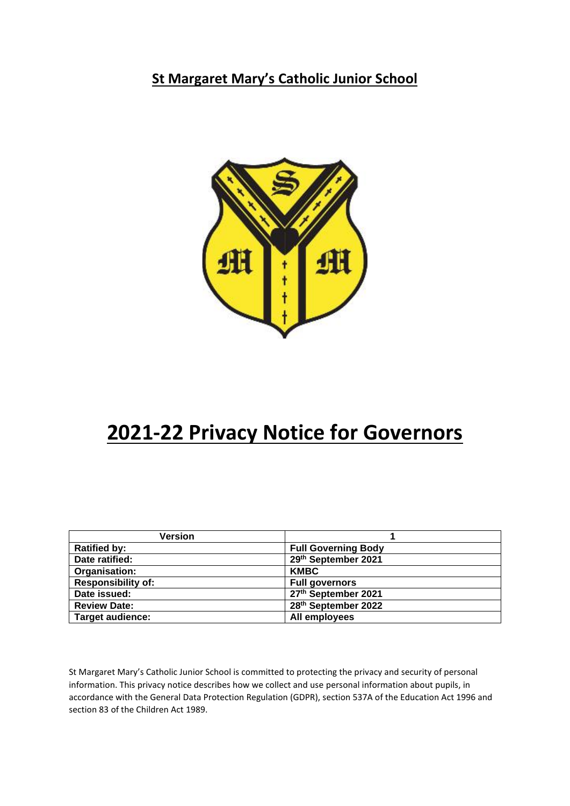**St Margaret Mary's Catholic Junior School**



# **2021-22 Privacy Notice for Governors**

| <b>Version</b>            |                            |
|---------------------------|----------------------------|
| <b>Ratified by:</b>       | <b>Full Governing Body</b> |
| Date ratified:            | 29th September 2021        |
| Organisation:             | <b>KMBC</b>                |
| <b>Responsibility of:</b> | <b>Full governors</b>      |
| Date issued:              | 27th September 2021        |
| <b>Review Date:</b>       | 28th September 2022        |
| <b>Target audience:</b>   | All employees              |

St Margaret Mary's Catholic Junior School is committed to protecting the privacy and security of personal information. This privacy notice describes how we collect and use personal information about pupils, in accordance with the General Data Protection Regulation (GDPR), section 537A of the Education Act 1996 and section 83 of the Children Act 1989.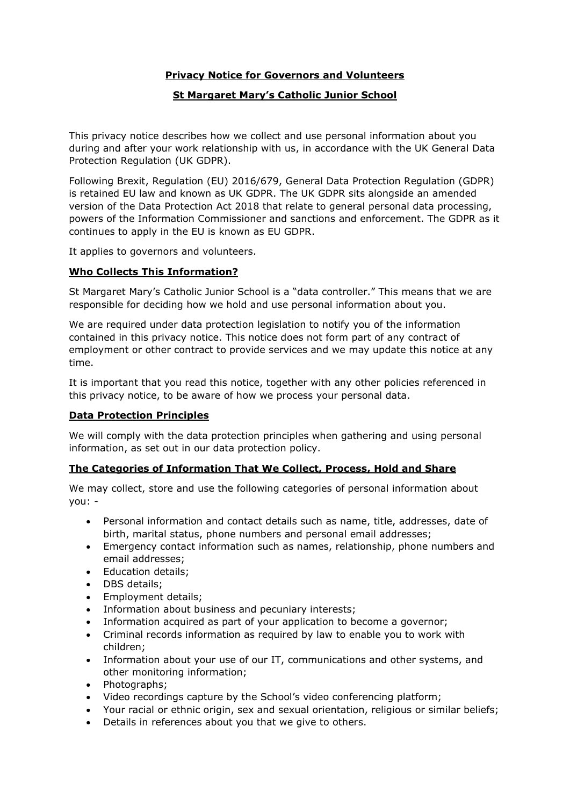# **Privacy Notice for Governors and Volunteers**

## **St Margaret Mary's Catholic Junior School**

This privacy notice describes how we collect and use personal information about you during and after your work relationship with us, in accordance with the UK General Data Protection Regulation (UK GDPR).

Following Brexit, Regulation (EU) 2016/679, General Data Protection Regulation (GDPR) is retained EU law and known as UK GDPR. The UK GDPR sits alongside an amended version of the Data Protection Act 2018 that relate to general personal data processing, powers of the Information Commissioner and sanctions and enforcement. The GDPR as it continues to apply in the EU is known as EU GDPR.

It applies to governors and volunteers.

## **Who Collects This Information?**

St Margaret Mary's Catholic Junior School is a "data controller." This means that we are responsible for deciding how we hold and use personal information about you.

We are required under data protection legislation to notify you of the information contained in this privacy notice. This notice does not form part of any contract of employment or other contract to provide services and we may update this notice at any time.

It is important that you read this notice, together with any other policies referenced in this privacy notice, to be aware of how we process your personal data.

#### **Data Protection Principles**

We will comply with the data protection principles when gathering and using personal information, as set out in our data protection policy.

#### **The Categories of Information That We Collect, Process, Hold and Share**

We may collect, store and use the following categories of personal information about you: -

- Personal information and contact details such as name, title, addresses, date of birth, marital status, phone numbers and personal email addresses;
- Emergency contact information such as names, relationship, phone numbers and email addresses;
- Education details;
- DBS details;
- Employment details;
- Information about business and pecuniary interests;
- Information acquired as part of your application to become a governor;
- Criminal records information as required by law to enable you to work with children;
- Information about your use of our IT, communications and other systems, and other monitoring information;
- Photographs;
- Video recordings capture by the School's video conferencing platform;
- Your racial or ethnic origin, sex and sexual orientation, religious or similar beliefs;
- Details in references about you that we give to others.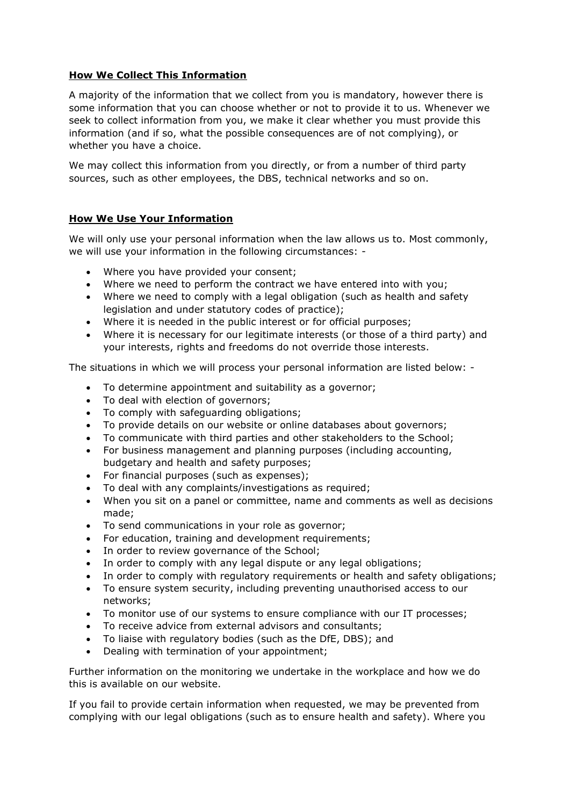## **How We Collect This Information**

A majority of the information that we collect from you is mandatory, however there is some information that you can choose whether or not to provide it to us. Whenever we seek to collect information from you, we make it clear whether you must provide this information (and if so, what the possible consequences are of not complying), or whether you have a choice.

We may collect this information from you directly, or from a number of third party sources, such as other employees, the DBS, technical networks and so on.

#### **How We Use Your Information**

We will only use your personal information when the law allows us to. Most commonly, we will use your information in the following circumstances: -

- Where you have provided your consent;
- Where we need to perform the contract we have entered into with you;
- Where we need to comply with a legal obligation (such as health and safety legislation and under statutory codes of practice);
- Where it is needed in the public interest or for official purposes;
- Where it is necessary for our legitimate interests (or those of a third party) and your interests, rights and freedoms do not override those interests.

The situations in which we will process your personal information are listed below: -

- To determine appointment and suitability as a governor;
- To deal with election of governors;
- To comply with safeguarding obligations;
- To provide details on our website or online databases about governors;
- To communicate with third parties and other stakeholders to the School;
- For business management and planning purposes (including accounting, budgetary and health and safety purposes;
- For financial purposes (such as expenses);
- To deal with any complaints/investigations as required;
- When you sit on a panel or committee, name and comments as well as decisions made;
- To send communications in your role as governor;
- For education, training and development requirements;
- In order to review governance of the School;
- In order to comply with any legal dispute or any legal obligations;
- In order to comply with regulatory requirements or health and safety obligations;
- To ensure system security, including preventing unauthorised access to our networks;
- To monitor use of our systems to ensure compliance with our IT processes;
- To receive advice from external advisors and consultants;
- To liaise with regulatory bodies (such as the DfE, DBS); and
- Dealing with termination of your appointment;

Further information on the monitoring we undertake in the workplace and how we do this is available on our website.

If you fail to provide certain information when requested, we may be prevented from complying with our legal obligations (such as to ensure health and safety). Where you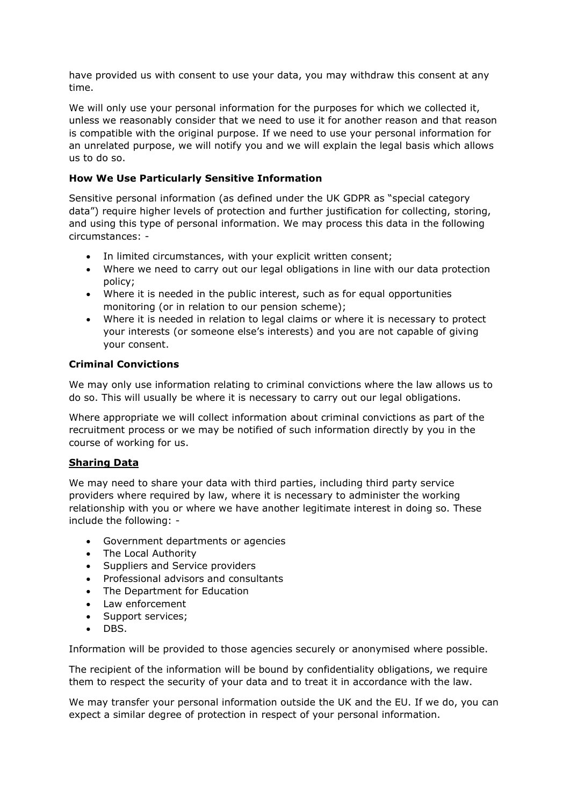have provided us with consent to use your data, you may withdraw this consent at any time.

We will only use your personal information for the purposes for which we collected it, unless we reasonably consider that we need to use it for another reason and that reason is compatible with the original purpose. If we need to use your personal information for an unrelated purpose, we will notify you and we will explain the legal basis which allows us to do so.

# **How We Use Particularly Sensitive Information**

Sensitive personal information (as defined under the UK GDPR as "special category data") require higher levels of protection and further justification for collecting, storing, and using this type of personal information. We may process this data in the following circumstances: -

- In limited circumstances, with your explicit written consent;
- Where we need to carry out our legal obligations in line with our data protection policy;
- Where it is needed in the public interest, such as for equal opportunities monitoring (or in relation to our pension scheme);
- Where it is needed in relation to legal claims or where it is necessary to protect your interests (or someone else's interests) and you are not capable of giving your consent.

## **Criminal Convictions**

We may only use information relating to criminal convictions where the law allows us to do so. This will usually be where it is necessary to carry out our legal obligations.

Where appropriate we will collect information about criminal convictions as part of the recruitment process or we may be notified of such information directly by you in the course of working for us.

## **Sharing Data**

We may need to share your data with third parties, including third party service providers where required by law, where it is necessary to administer the working relationship with you or where we have another legitimate interest in doing so. These include the following: -

- Government departments or agencies
- The Local Authority
- Suppliers and Service providers
- Professional advisors and consultants
- The Department for Education
- Law enforcement
- Support services;
- DBS.

Information will be provided to those agencies securely or anonymised where possible.

The recipient of the information will be bound by confidentiality obligations, we require them to respect the security of your data and to treat it in accordance with the law.

We may transfer your personal information outside the UK and the EU. If we do, you can expect a similar degree of protection in respect of your personal information.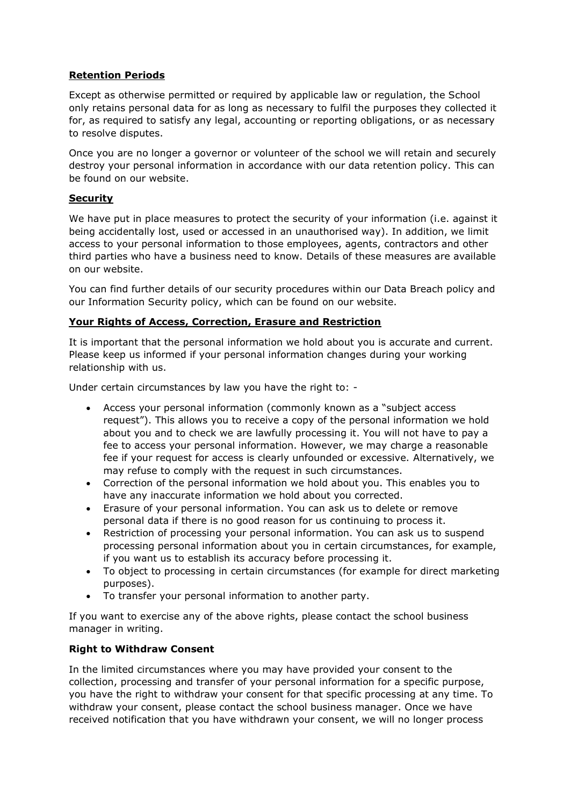# **Retention Periods**

Except as otherwise permitted or required by applicable law or regulation, the School only retains personal data for as long as necessary to fulfil the purposes they collected it for, as required to satisfy any legal, accounting or reporting obligations, or as necessary to resolve disputes.

Once you are no longer a governor or volunteer of the school we will retain and securely destroy your personal information in accordance with our data retention policy. This can be found on our website.

#### **Security**

We have put in place measures to protect the security of your information (i.e. against it being accidentally lost, used or accessed in an unauthorised way). In addition, we limit access to your personal information to those employees, agents, contractors and other third parties who have a business need to know. Details of these measures are available on our website.

You can find further details of our security procedures within our Data Breach policy and our Information Security policy, which can be found on our website.

## **Your Rights of Access, Correction, Erasure and Restriction**

It is important that the personal information we hold about you is accurate and current. Please keep us informed if your personal information changes during your working relationship with us.

Under certain circumstances by law you have the right to: -

- Access your personal information (commonly known as a "subject access request"). This allows you to receive a copy of the personal information we hold about you and to check we are lawfully processing it. You will not have to pay a fee to access your personal information. However, we may charge a reasonable fee if your request for access is clearly unfounded or excessive. Alternatively, we may refuse to comply with the request in such circumstances.
- Correction of the personal information we hold about you. This enables you to have any inaccurate information we hold about you corrected.
- Erasure of your personal information. You can ask us to delete or remove personal data if there is no good reason for us continuing to process it.
- Restriction of processing your personal information. You can ask us to suspend processing personal information about you in certain circumstances, for example, if you want us to establish its accuracy before processing it.
- To object to processing in certain circumstances (for example for direct marketing purposes).
- To transfer your personal information to another party.

If you want to exercise any of the above rights, please contact the school business manager in writing.

## **Right to Withdraw Consent**

In the limited circumstances where you may have provided your consent to the collection, processing and transfer of your personal information for a specific purpose, you have the right to withdraw your consent for that specific processing at any time. To withdraw your consent, please contact the school business manager. Once we have received notification that you have withdrawn your consent, we will no longer process